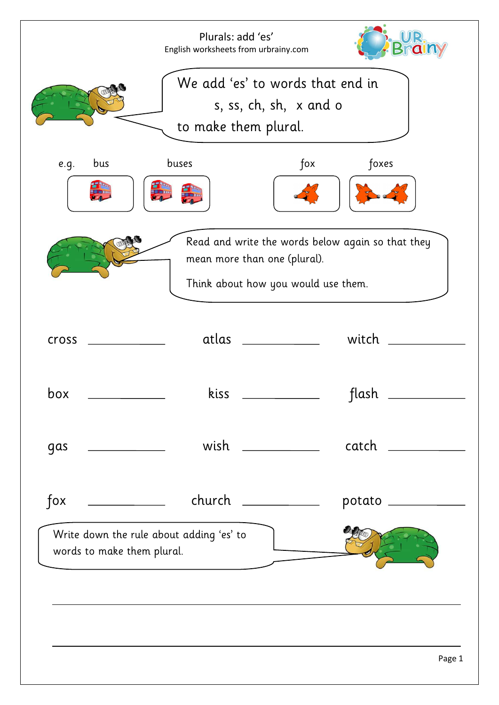|                            | Plurals: add 'es'<br>English worksheets from urbrainy.com |                                                                     |                                                   |
|----------------------------|-----------------------------------------------------------|---------------------------------------------------------------------|---------------------------------------------------|
|                            | to make them plural.                                      | We add 'es' to words that end in<br>s, ss, ch, sh, $x$ and $o$      |                                                   |
| bus<br>e.g.                | buses                                                     | $f$ ox                                                              | foxes                                             |
|                            |                                                           | mean more than one (plural).<br>Think about how you would use them. | Read and write the words below again so that they |
| cross                      | atlas                                                     |                                                                     | witch                                             |
| box                        | kiss                                                      |                                                                     | flash                                             |
| gas                        | wish                                                      |                                                                     | catch                                             |
| $f$ ox                     |                                                           | church __________                                                   | potato                                            |
| words to make them plural. | Write down the rule about adding 'es' to                  |                                                                     |                                                   |
|                            |                                                           |                                                                     |                                                   |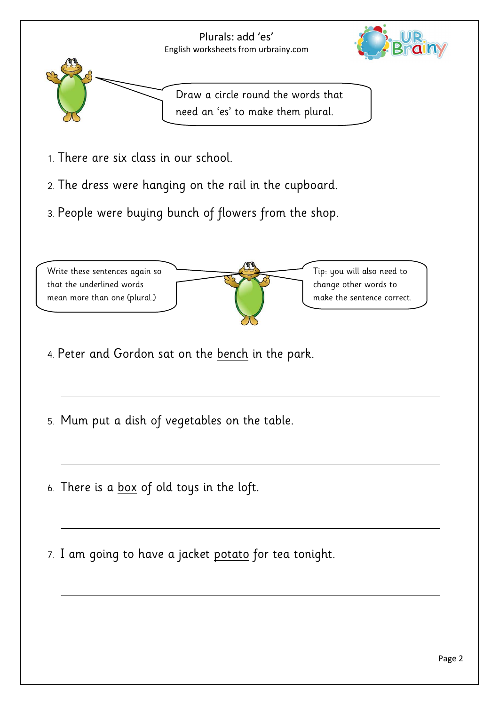

- 1. There are six class in our school.
- 2. The dress were hanging on the rail in the cupboard.
- 3. People were buying bunch of flowers from the shop.



- 4. Peter and Gordon sat on the bench in the park.
- 5. Mum put a dish of vegetables on the table.
- 6. There is a box of old toys in the loft.
- 7. I am going to have a jacket potato for tea tonight.